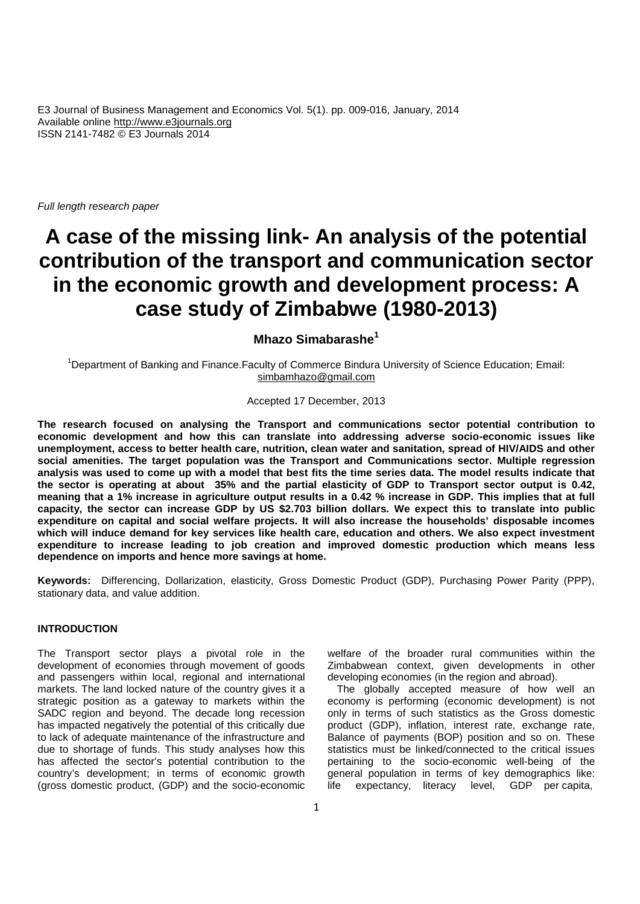*Full length research paper*

# **A case of the missing link- An analysis of the potential contribution of the transport and communication sector in the economic growth and development process: A case study of Zimbabwe (1980-2013)**

# **Mhazo Simabarashe<sup>1</sup>**

<sup>1</sup>Department of Banking and Finance.Faculty of Commerce Bindura University of Science Education; Email: simbamhazo@gmail.com

#### Accepted 17 December, 2013

**The research focused on analysing the Transport and communications sector potential contribution to economic development and how this can translate into addressing adverse socio-economic issues like unemployment, access to better health care, nutrition, clean water and sanitation, spread of HIV/AIDS and other social amenities. The target population was the Transport and Communications sector. Multiple regression analysis was used to come up with a model that best fits the time series data. The model results indicate that the sector is operating at about 35% and the partial elasticity of GDP to Transport sector output is 0.42, meaning that a 1% increase in agriculture output results in a 0.42 % increase in GDP. This implies that at full capacity, the sector can increase GDP by US \$2.703 billion dollars. We expect this to translate into public expenditure on capital and social welfare projects. It will also increase the households' disposable incomes which will induce demand for key services like health care, education and others. We also expect investment expenditure to increase leading to job creation and improved domestic production which means less dependence on imports and hence more savings at home.**

**Keywords:** Differencing, Dollarization, elasticity, Gross Domestic Product (GDP), Purchasing Power Parity (PPP), stationary data, and value addition.

## **INTRODUCTION**

The Transport sector plays a pivotal role in the development of economies through movement of goods and passengers within local, regional and international markets. The land locked nature of the country gives it a strategic position as a gateway to markets within the SADC region and beyond. The decade long recession has impacted negatively the potential of this critically due to lack of adequate maintenance of the infrastructure and due to shortage of funds. This study analyses how this has affected the sector's potential contribution to the country's development; in terms of economic growth (gross domestic product, (GDP) and the socio-economic

welfare of the broader rural communities within the Zimbabwean context, given developments in other developing economies (in the region and abroad).

The globally accepted measure of how well an economy is performing (economic development) is not only in terms of such statistics as the Gross domestic product (GDP), inflation, interest rate, exchange rate, Balance of payments (BOP) position and so on. These statistics must be linked/connected to the critical issues pertaining to the socio-economic well-being of the general population in terms of key demographics like: expectancy, literacy level, GDP per capita,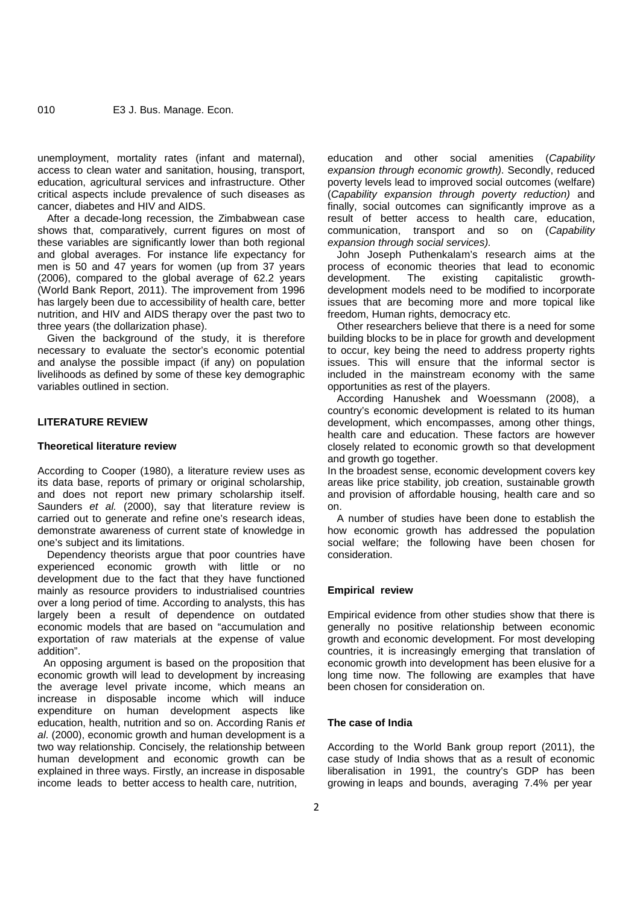unemployment, mortality rates (infant and maternal), access to clean water and sanitation, housing, transport, education, agricultural services and infrastructure. Other critical aspects include prevalence of such diseases as cancer, diabetes and HIV and AIDS.

After a decade-long recession, the Zimbabwean case shows that, comparatively, current figures on most of these variables are significantly lower than both regional and global averages. For instance life expectancy for men is 50 and 47 years for women (up from 37 years (2006), compared to the global average of 62.2 years (World Bank Report, 2011). The improvement from 1996 has largely been due to accessibility of health care, better nutrition, and HIV and AIDS therapy over the past two to three years (the dollarization phase).

Given the background of the study, it is therefore necessary to evaluate the sector's economic potential and analyse the possible impact (if any) on population livelihoods as defined by some of these key demographic variables outlined in section.

## **LITERATURE REVIEW**

#### **Theoretical literature review**

According to Cooper (1980), a literature review uses as its data base, reports of primary or original scholarship, and does not report new primary scholarship itself. Saunders *et al.* (2000), say that literature review is carried out to generate and refine one's research ideas, demonstrate awareness of current state of knowledge in one's subject and its limitations.

Dependency theorists argue that poor countries have experienced economic growth with little or no development due to the fact that they have functioned mainly as resource providers to industrialised countries over a long period of time. According to analysts, this has largely been a result of dependence on outdated economic models that are based on "accumulation and exportation of raw materials at the expense of value addition".

An opposing argument is based on the proposition that economic growth will lead to development by increasing the average level private income, which means an increase in disposable income which will induce expenditure on human development aspects like education, health, nutrition and so on. According Ranis *et al*. (2000), economic growth and human development is a two way relationship. Concisely, the relationship between human development and economic growth can be explained in three ways. Firstly, an increase in disposable income leads to better access to health care, nutrition,

education and other social amenities (*Capability expansion through economic growth)*. Secondly, reduced poverty levels lead to improved social outcomes (welfare) (*Capability expansion through poverty reduction)* and finally, social outcomes can significantly improve as a result of better access to health care, education, communication, transport and so on (*Capability expansion through social services).*

John Joseph Puthenkalam's research aims at the process of economic theories that lead to economic<br>development. The existing capitalistic growth-.<br>development. development models need to be modified to incorporate issues that are becoming more and more topical like freedom, Human rights, democracy etc.

Other researchers believe that there is a need for some building blocks to be in place for growth and development to occur, key being the need to address property rights issues. This will ensure that the informal sector is included in the mainstream economy with the same opportunities as rest of the players.

According Hanushek and Woessmann (2008), a country's economic development is related to its human development, which encompasses, among other things, health care and education. These factors are however closely related to economic growth so that development and growth go together.

In the broadest sense, economic development covers key areas like price stability, job creation, sustainable growth and provision of affordable housing, health care and so on.

A number of studies have been done to establish the how economic growth has addressed the population social welfare; the following have been chosen for consideration.

#### **Empirical review**

Empirical evidence from other studies show that there is generally no positive relationship between economic growth and economic development. For most developing countries, it is increasingly emerging that translation of economic growth into development has been elusive for a long time now. The following are examples that have been chosen for consideration on.

## **The case of India**

According to the World Bank group report (2011), the case study of India shows that as a result of economic liberalisation in 1991, the country's GDP has been growing in leaps and bounds, averaging 7.4% per year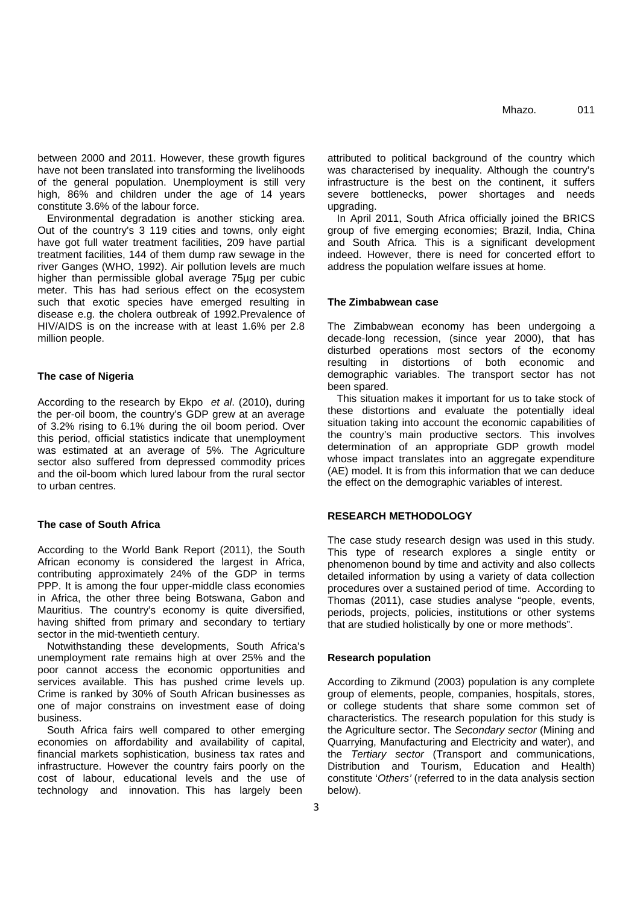between 2000 and 2011. However, these growth figures have not been translated into transforming the livelihoods of the general population. Unemployment is still very high, 86% and children under the age of 14 years constitute 3.6% of the labour force.

Environmental degradation is another sticking area. Out of the country's 3 119 cities and towns, only eight have got full water treatment facilities, 209 have partial treatment facilities, 144 of them dump raw sewage in the river Ganges (WHO, 1992). Air pollution levels are much higher than permissible global average 75µg per cubic meter. This has had serious effect on the ecosystem such that exotic species have emerged resulting in disease e.g. the cholera outbreak of 1992.Prevalence of HIV/AIDS is on the increase with at least 1.6% per 2.8 million people.

## **The case of Nigeria**

According to the research by Ekpo *et al*. (2010), during the per-oil boom, the country's GDP grew at an average of 3.2% rising to 6.1% during the oil boom period. Over this period, official statistics indicate that unemployment was estimated at an average of 5%. The Agriculture sector also suffered from depressed commodity prices and the oil-boom which lured labour from the rural sector to urban centres.

## **The case of South Africa**

According to the World Bank Report (2011), the South African economy is considered the largest in Africa, contributing approximately 24% of the GDP in terms PPP. It is among the four upper-middle class economies in Africa, the other three being Botswana, Gabon and Mauritius. The country's economy is quite diversified, having shifted from primary and secondary to tertiary sector in the mid-twentieth century.

Notwithstanding these developments, South Africa's unemployment rate remains high at over 25% and the poor cannot access the economic opportunities and services available. This has pushed crime levels up. Crime is ranked by 30% of South African businesses as one of major constrains on investment ease of doing business.

South Africa fairs well compared to other emerging economies on affordability and availability of capital, financial markets sophistication, business tax rates and infrastructure. However the country fairs poorly on the cost of labour, educational levels and the use of technology and innovation. This has largely been

attributed to political background of the country which was characterised by inequality. Although the country's infrastructure is the best on the continent, it suffers severe bottlenecks, power shortages and needs upgrading.

In April 2011, South Africa officially joined the BRICS group of five emerging economies; Brazil, India, China and South Africa. This is a significant development indeed. However, there is need for concerted effort to address the population welfare issues at home.

## **The Zimbabwean case**

The Zimbabwean economy has been undergoing a decade-long recession, (since year 2000), that has disturbed operations most sectors of the economy resulting in distortions of both economic and demographic variables. The transport sector has not been spared.

This situation makes it important for us to take stock of these distortions and evaluate the potentially ideal situation taking into account the economic capabilities of the country's main productive sectors. This involves determination of an appropriate GDP growth model whose impact translates into an aggregate expenditure (AE) model. It is from this information that we can deduce the effect on the demographic variables of interest.

## **RESEARCH METHODOLOGY**

The case study research design was used in this study. This type of research explores a single entity or phenomenon bound by time and activity and also collects detailed information by using a variety of data collection procedures over a sustained period of time. According to Thomas (2011), case studies analyse "people, events, periods, projects, policies, institutions or other systems that are studied holistically by one or more methods".

## **Research population**

According to Zikmund (2003) population is any complete group of elements, people, companies, hospitals, stores, or college students that share some common set of characteristics. The research population for this study is the Agriculture sector. The *Secondary sector* (Mining and Quarrying, Manufacturing and Electricity and water), and the *Tertiary sector* (Transport and communications, Distribution and Tourism, Education and Health) constitute '*Others'* (referred to in the data analysis section below).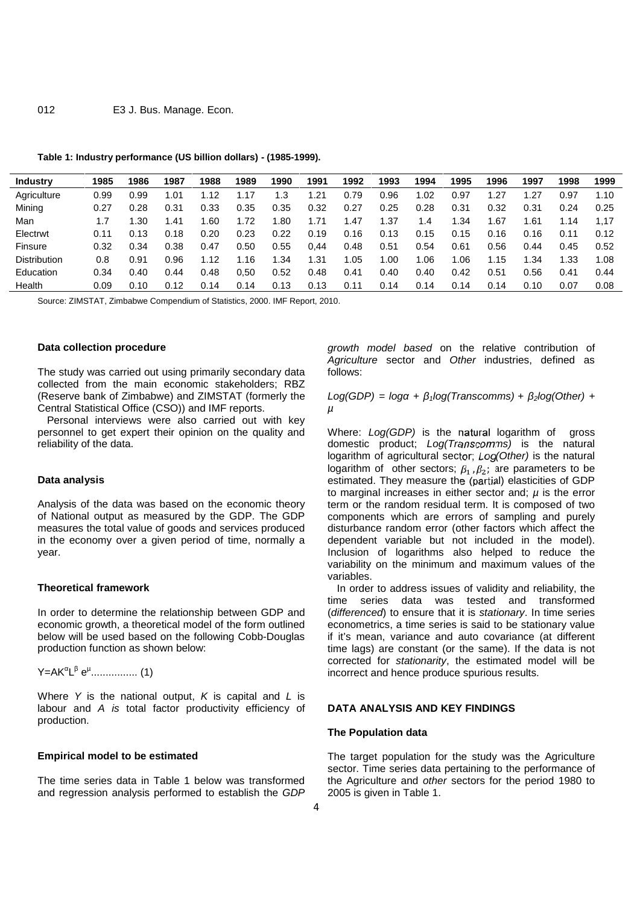| Industry            | 1985 | 1986  | 1987  | 1988 | 1989 | 1990 | 1991 | 1992  | 1993 | 1994 | 1995 | 1996 | 1997 | 1998 | 1999 |
|---------------------|------|-------|-------|------|------|------|------|-------|------|------|------|------|------|------|------|
| Agriculture         | 0.99 | 0.99  | .01   | .12  |      | .3   | .21  | 0.79  | 0.96 | .02  | 0.97 | 1.27 | .27  | 0.97 | 1.10 |
| Mining              | 0.27 | 0.28  | 0.31  | 0.33 | 0.35 | 0.35 | 0.32 | 0.27  | 0.25 | 0.28 | 0.31 | 0.32 | 0.31 | 0.24 | 0.25 |
| Man                 |      | . .30 | 41. ا | .60  | .72  | .80  | 1.71 | . .47 | .37  | 1.4  | .34  | .67  | .61  | 1.14 | 1.17 |
| Electrwt            | 0.11 | 0.13  | 0.18  | 0.20 | 0.23 | 0.22 | 0.19 | 0.16  | 0.13 | 0.15 | 0.15 | 0.16 | 0.16 | 0.11 | 0.12 |
| <b>Finsure</b>      | 0.32 | 0.34  | 0.38  | 0.47 | 0.50 | 0.55 | 0.44 | 0.48  | 0.51 | 0.54 | 0.61 | 0.56 | 0.44 | 0.45 | 0.52 |
| <b>Distribution</b> | 0.8  | 0.91  | 0.96  | .12  | 16   | .34  | 31.، | 1.05  | .00  | .06  | .06  | 1.15 | .34  | 1.33 | 1.08 |
| Education           | 0.34 | 0.40  | 0.44  | 0.48 | 0.50 | 0.52 | 0.48 | 0.41  | 0.40 | 0.40 | 0.42 | 0.51 | 0.56 | 0.41 | 0.44 |
| Health              | 0.09 | 0.10  | 0.12  | 0.14 | 0.14 | 0.13 | 0.13 | 0.11  | 0.14 | 0.14 | 0.14 | 0.14 | 0.10 | 0.07 | 0.08 |

### **Table 1: Industry performance (US billion dollars) - (1985-1999).**

Source: ZIMSTAT, Zimbabwe Compendium of Statistics, 2000. IMF Report, 2010.

## **Data collection procedure**

The study was carried out using primarily secondary data collected from the main economic stakeholders; RBZ (Reserve bank of Zimbabwe) and ZIMSTAT (formerly the Central Statistical Office (CSO)) and IMF reports.

Personal interviews were also carried out with key personnel to get expert their opinion on the quality and reliability of the data.

## **Data analysis**

Analysis of the data was based on the economic theory of National output as measured by the GDP. The GDP measures the total value of goods and services produced in the economy over a given period of time, normally a year.

#### **Theoretical framework**

In order to determine the relationship between GDP and economic growth, a theoretical model of the form outlined below will be used based on the following Cobb-Douglas production function as shown below:

Y=AK L e<sup>µ</sup>................. (1)

Where *Y* is the national output, *K* is capital and *L* is labour and *A is* total factor productivity efficiency of production.

#### **Empirical model to be estimated**

The time series data in Table 1 below was transformed and regression analysis performed to establish the *GDP*

*growth model based* on the relative contribution of *Agriculture* sector and *Other* industries, defined as follows:

 $Log(GDP) = log + \frac{1}{2}log(Transcomms) + \frac{1}{2}log(Other) + \frac{1}{2}log(Other)$ *µ*

Where: *Log(GDP)* is the natural logarithm of gross domestic product; *Log(Transcomms)* is the natural logarithm of agricultural sector; *Log(Other)* is the natural logarithm of other sectors;  $\beta_1$ ,  $\beta_2$ ; are parameters to be estimated. They measure the (partial) elasticities of GDP to marginal increases in either sector and; *µ* is the error term or the random residual term. It is composed of two components which are errors of sampling and purely disturbance random error (other factors which affect the dependent variable but not included in the model). Inclusion of logarithms also helped to reduce the variability on the minimum and maximum values of the variables.

In order to address issues of validity and reliability, the time series data was tested and transformed (*differenced*) to ensure that it is *stationary*. In time series econometrics, a time series is said to be stationary value if it's mean, variance and auto covariance (at different time lags) are constant (or the same). If the data is not corrected for *stationarity*, the estimated model will be incorrect and hence produce spurious results.

#### **DATA ANALYSIS AND KEY FINDINGS**

#### **The Population data**

The target population for the study was the Agriculture sector. Time series data pertaining to the performance of the Agriculture and *other* sectors for the period 1980 to 2005 is given in Table 1.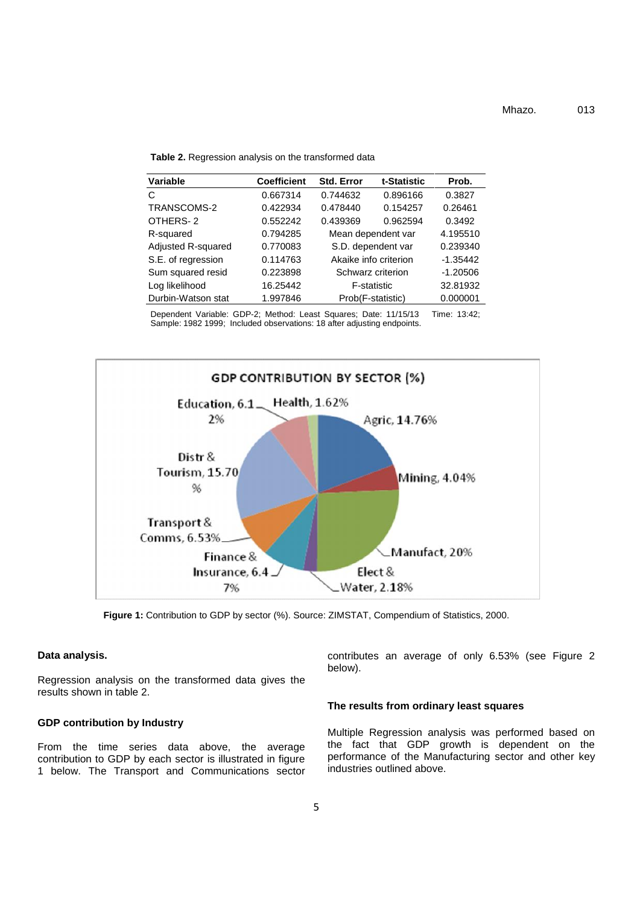**Table 2.** Regression analysis on the transformed data

| <b>Variable</b>    | <b>Coefficient</b> | <b>Std. Error</b> | t-Statistic           | Prob.      |
|--------------------|--------------------|-------------------|-----------------------|------------|
| C                  | 0.667314           | 0.744632          | 0.896166              | 0.3827     |
| TRANSCOMS-2        | 0.422934           | 0.478440          | 0.154257              | 0.26461    |
| OTHERS-2           | 0.552242           | 0.439369          | 0.962594              | 0.3492     |
| R-squared          | 0.794285           |                   | Mean dependent var    | 4.195510   |
| Adjusted R-squared | 0.770083           |                   | S.D. dependent var    | 0.239340   |
| S.E. of regression | 0.114763           |                   | Akaike info criterion | $-1.35442$ |
| Sum squared resid  | 0.223898           |                   | Schwarz criterion     | $-1.20506$ |
| Log likelihood     | 16.25442           |                   | F-statistic           | 32.81932   |
| Durbin-Watson stat | 1.997846           |                   | Prob(F-statistic)     | 0.000001   |

Dependent Variable: GDP-2; Method: Least Squares; Date: 11/15/13 Time: 13:42; Sample: 1982 1999; Included observations: 18 after adjusting endpoints.



**Figure 1:** Contribution to GDP by sector (%). Source: ZIMSTAT, Compendium of Statistics, 2000.

## **Data analysis.**

Regression analysis on the transformed data gives the results shown in table 2.

## **GDP contribution by Industry**

From the time series data above, the average contribution to GDP by each sector is illustrated in figure 1 below. The Transport and Communications sector contributes an average of only 6.53% (see Figure 2 below).

## **The results from ordinary least squares**

Multiple Regression analysis was performed based on the fact that GDP growth is dependent on the performance of the Manufacturing sector and other key industries outlined above.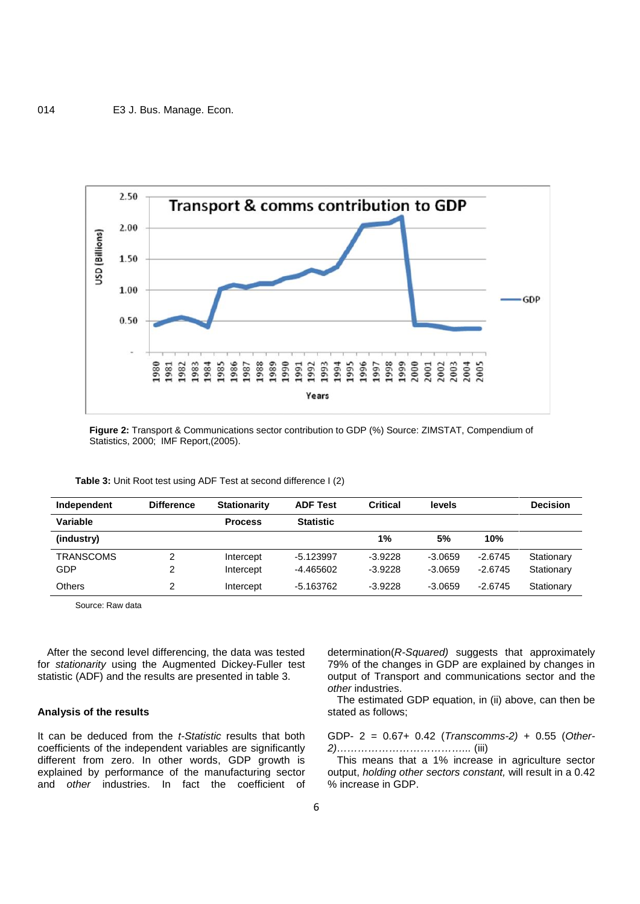

**Figure 2:** Transport & Communications sector contribution to GDP (%) Source: ZIMSTAT, Compendium of Statistics, 2000; IMF Report,(2005).

| Independent      | <b>Difference</b> | <b>Stationarity</b> | <b>ADF Test</b>  | <b>Critical</b> | levels    |           | <b>Decision</b> |
|------------------|-------------------|---------------------|------------------|-----------------|-----------|-----------|-----------------|
| Variable         |                   | <b>Process</b>      | <b>Statistic</b> |                 |           |           |                 |
| (industry)       |                   |                     |                  | 1%              | 5%        | 10%       |                 |
| <b>TRANSCOMS</b> | 2                 | Intercept           | $-5.123997$      | $-3.9228$       | $-3.0659$ | $-2.6745$ | Stationary      |
| GDP              | 2                 | Intercept           | -4.465602        | $-3.9228$       | $-3.0659$ | $-2.6745$ | Stationary      |
| <b>Others</b>    | 2                 | Intercept           | $-5.163762$      | $-3.9228$       | $-3.0659$ | $-2.6745$ | Stationary      |

**Table 3:** Unit Root test using ADF Test at second difference I (2)

Source: Raw data

After the second level differencing, the data was tested for *stationarity* using the Augmented Dickey-Fuller test statistic (ADF) and the results are presented in table 3.

## **Analysis of the results**

It can be deduced from the *t-Statistic* results that both coefficients of the independent variables are significantly different from zero. In other words, GDP growth is explained by performance of the manufacturing sector and *other* industries. In fact the coefficient of

determination(*R-Squared)* suggests that approximately 79% of the changes in GDP are explained by changes in output of Transport and communications sector and the *other* industries.

The estimated GDP equation, in (ii) above, can then be stated as follows;

GDP- 2 = 0.67+ 0.42 (*Transcomms-2)* + 0.55 (*Other- 2)………………………………...* (iii)

This means that a 1% increase in agriculture sector output, *holding other sectors constant,* will result in a 0.42 % increase in GDP.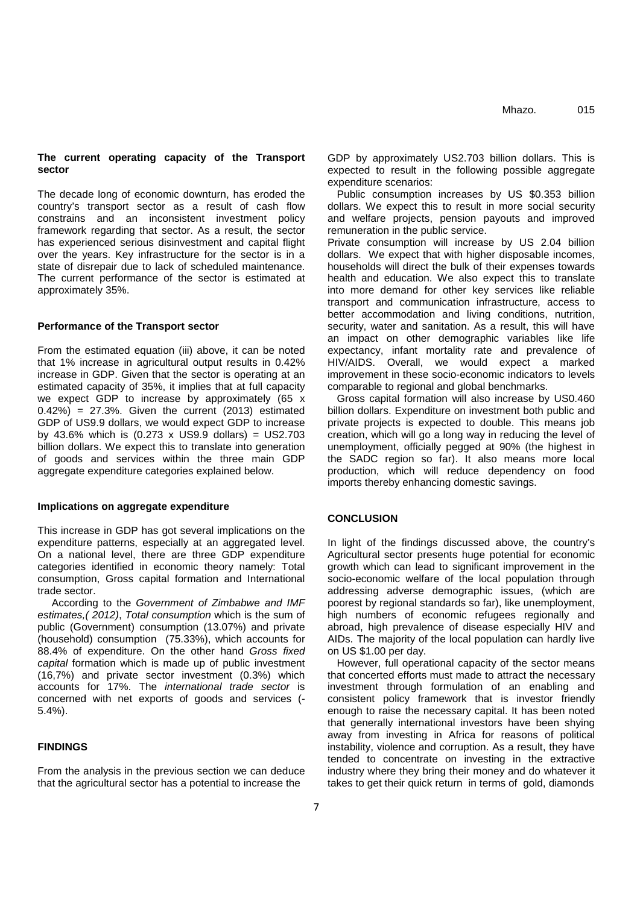## **The current operating capacity of the Transport sector**

The decade long of economic downturn, has eroded the country's transport sector as a result of cash flow constrains and an inconsistent investment policy framework regarding that sector. As a result, the sector has experienced serious disinvestment and capital flight over the years. Key infrastructure for the sector is in a state of disrepair due to lack of scheduled maintenance. The current performance of the sector is estimated at approximately 35%.

## **Performance of the Transport sector**

From the estimated equation (iii) above, it can be noted that 1% increase in agricultural output results in 0.42% increase in GDP. Given that the sector is operating at an estimated capacity of 35%, it implies that at full capacity we expect GDP to increase by approximately (65 x  $(0.42\%) = 27.3\%$ . Given the current  $(2013)$  estimated GDP of US9.9 dollars, we would expect GDP to increase by 43.6% which is (0.273 x US9.9 dollars) = US2.703 billion dollars. We expect this to translate into generation of goods and services within the three main GDP aggregate expenditure categories explained below.

#### **Implications on aggregate expenditure**

This increase in GDP has got several implications on the expenditure patterns, especially at an aggregated level. On a national level, there are three GDP expenditure categories identified in economic theory namely: Total consumption, Gross capital formation and International trade sector.

According to the *Government of Zimbabwe and IMF estimates,( 2012)*, *Total consumption* which is the sum of public (Government) consumption (13.07%) and private (household) consumption (75.33%), which accounts for 88.4% of expenditure. On the other hand *Gross fixed capital* formation which is made up of public investment (16,7%) and private sector investment (0.3%) which accounts for 17%. The *international trade sector* is concerned with net exports of goods and services (-5.4%).

## **FINDINGS**

From the analysis in the previous section we can deduce that the agricultural sector has a potential to increase the

GDP by approximately US2.703 billion dollars. This is expected to result in the following possible aggregate expenditure scenarios:

Public consumption increases by US \$0.353 billion dollars. We expect this to result in more social security and welfare projects, pension payouts and improved remuneration in the public service.

Private consumption will increase by US 2.04 billion dollars. We expect that with higher disposable incomes, households will direct the bulk of their expenses towards health and education. We also expect this to translate into more demand for other key services like reliable transport and communication infrastructure, access to better accommodation and living conditions, nutrition, security, water and sanitation. As a result, this will have an impact on other demographic variables like life expectancy, infant mortality rate and prevalence of HIV/AIDS. Overall, we would expect a marked improvement in these socio-economic indicators to levels comparable to regional and global benchmarks.

Gross capital formation will also increase by US0.460 billion dollars. Expenditure on investment both public and private projects is expected to double. This means job creation, which will go a long way in reducing the level of unemployment, officially pegged at 90% (the highest in the SADC region so far). It also means more local production, which will reduce dependency on food imports thereby enhancing domestic savings.

## **CONCLUSION**

In light of the findings discussed above, the country's Agricultural sector presents huge potential for economic growth which can lead to significant improvement in the socio-economic welfare of the local population through addressing adverse demographic issues, (which are poorest by regional standards so far), like unemployment, high numbers of economic refugees regionally and abroad, high prevalence of disease especially HIV and AIDs. The majority of the local population can hardly live on US \$1.00 per day.

However, full operational capacity of the sector means that concerted efforts must made to attract the necessary investment through formulation of an enabling and consistent policy framework that is investor friendly enough to raise the necessary capital. It has been noted that generally international investors have been shying away from investing in Africa for reasons of political instability, violence and corruption. As a result, they have tended to concentrate on investing in the extractive industry where they bring their money and do whatever it takes to get their quick return in terms of gold, diamonds